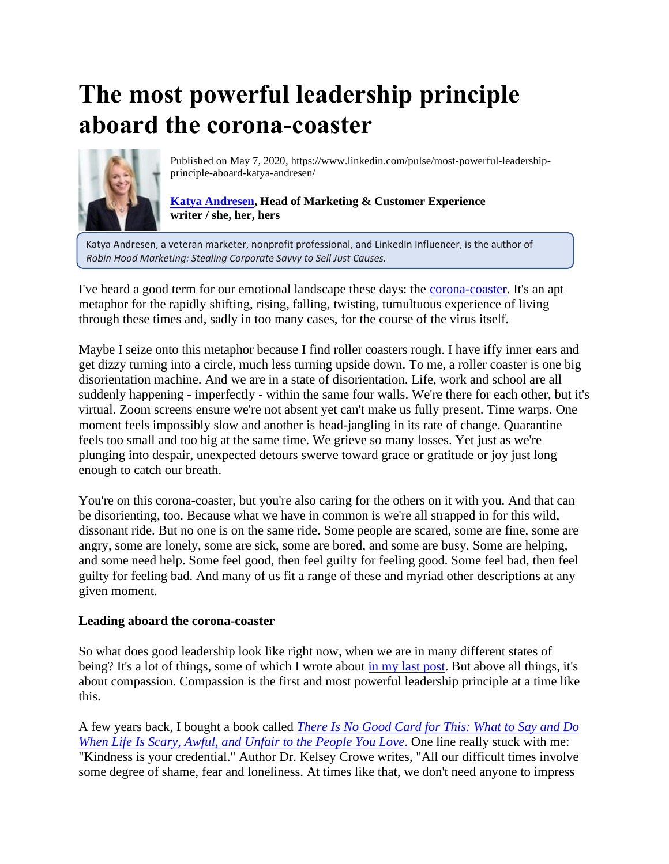# **The most powerful leadership principle aboard the corona-coaster**



Published on May 7, 2020, https://www.linkedin.com/pulse/most-powerful-leadershipprinciple-aboard-katya-andresen/

# **[Katya Andresen,](https://www.linkedin.com/in/katyaandresen?trk=author_mini-profile_title) Head of Marketing & Customer Experience writer / she, her, hers**

 Katya Andresen, a veteran marketer, nonprofit professional, and LinkedIn Influencer, is the author of  *Robin Hood Marketing: Stealing Corporate Savvy to Sell Just Causes.*

I've heard a good term for our emotional landscape these days: the [corona-coaster.](https://www.urbandictionary.com/define.php?term=Coronacoaster) It's an apt metaphor for the rapidly shifting, rising, falling, twisting, tumultuous experience of living through these times and, sadly in too many cases, for the course of the virus itself.

Maybe I seize onto this metaphor because I find roller coasters rough. I have iffy inner ears and get dizzy turning into a circle, much less turning upside down. To me, a roller coaster is one big disorientation machine. And we are in a state of disorientation. Life, work and school are all suddenly happening - imperfectly - within the same four walls. We're there for each other, but it's virtual. Zoom screens ensure we're not absent yet can't make us fully present. Time warps. One moment feels impossibly slow and another is head-jangling in its rate of change. Quarantine feels too small and too big at the same time. We grieve so many losses. Yet just as we're plunging into despair, unexpected detours swerve toward grace or gratitude or joy just long enough to catch our breath.

You're on this corona-coaster, but you're also caring for the others on it with you. And that can be disorienting, too. Because what we have in common is we're all strapped in for this wild, dissonant ride. But no one is on the same ride. Some people are scared, some are fine, some are angry, some are lonely, some are sick, some are bored, and some are busy. Some are helping, and some need help. Some feel good, then feel guilty for feeling good. Some feel bad, then feel guilty for feeling bad. And many of us fit a range of these and myriad other descriptions at any given moment.

### **Leading aboard the corona-coaster**

So what does good leadership look like right now, when we are in many different states of being? It's a lot of things, some of which I wrote about [in my last post.](https://www.linkedin.com/pulse/6-thoughts-leading-through-uncertainty-katya-andresen/?trackingId=HfgXlV%2FHtjtC2cyX%2B8Mu4Q%3D%3D) But above all things, it's about compassion. Compassion is the first and most powerful leadership principle at a time like this.

A few years back, I bought a book called *[There Is No Good Card for This: What to Say and Do](https://www.amazon.com/dp/B019MMUAHE/ref=dp-kindle-redirect?_encoding=UTF8&btkr=1)  [When Life Is Scary, Awful, and Unfair to the People You Love](https://www.amazon.com/dp/B019MMUAHE/ref=dp-kindle-redirect?_encoding=UTF8&btkr=1)*. One line really stuck with me: "Kindness is your credential." Author Dr. Kelsey Crowe writes, "All our difficult times involve some degree of shame, fear and loneliness. At times like that, we don't need anyone to impress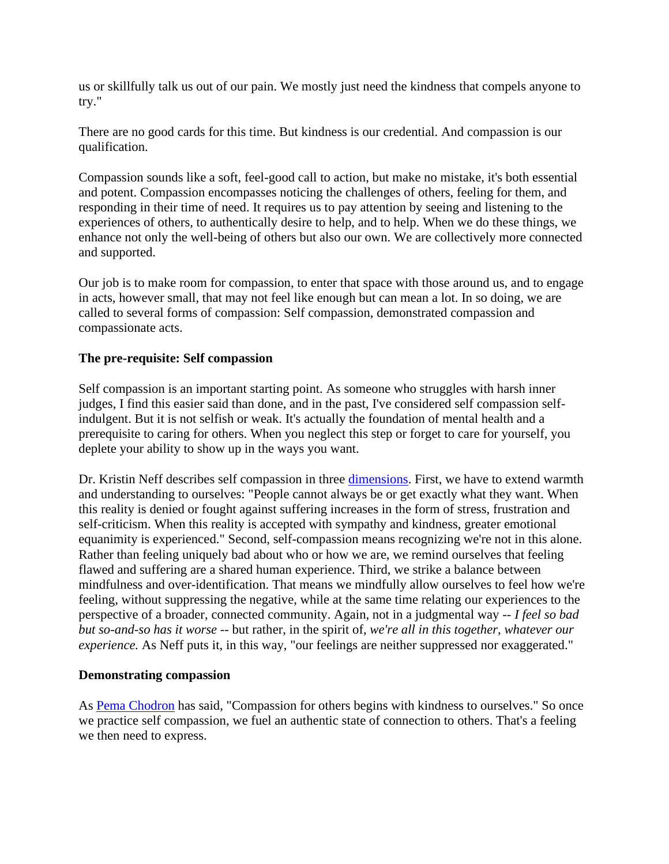us or skillfully talk us out of our pain. We mostly just need the kindness that compels anyone to try."

There are no good cards for this time. But kindness is our credential. And compassion is our qualification.

Compassion sounds like a soft, feel-good call to action, but make no mistake, it's both essential and potent. Compassion encompasses noticing the challenges of others, feeling for them, and responding in their time of need. It requires us to pay attention by seeing and listening to the experiences of others, to authentically desire to help, and to help. When we do these things, we enhance not only the well-being of others but also our own. We are collectively more connected and supported.

Our job is to make room for compassion, to enter that space with those around us, and to engage in acts, however small, that may not feel like enough but can mean a lot. In so doing, we are called to several forms of compassion: Self compassion, demonstrated compassion and compassionate acts.

### **The pre-requisite: Self compassion**

Self compassion is an important starting point. As someone who struggles with harsh inner judges, I find this easier said than done, and in the past, I've considered self compassion selfindulgent. But it is not selfish or weak. It's actually the foundation of mental health and a prerequisite to caring for others. When you neglect this step or forget to care for yourself, you deplete your ability to show up in the ways you want.

Dr. Kristin Neff describes self compassion in three [dimensions.](https://self-compassion.org/the-three-elements-of-self-compassion-2/) First, we have to extend warmth and understanding to ourselves: "People cannot always be or get exactly what they want. When this reality is denied or fought against suffering increases in the form of stress, frustration and self-criticism. When this reality is accepted with sympathy and kindness, greater emotional equanimity is experienced." Second, self-compassion means recognizing we're not in this alone. Rather than feeling uniquely bad about who or how we are, we remind ourselves that feeling flawed and suffering are a shared human experience. Third, we strike a balance between mindfulness and over-identification. That means we mindfully allow ourselves to feel how we're feeling, without suppressing the negative, while at the same time relating our experiences to the perspective of a broader, connected community. Again, not in a judgmental way -- *I feel so bad but so-and-so has it worse* -- but rather, in the spirit of, *we're all in this together, whatever our experience.* As Neff puts it, in this way, "our feelings are neither suppressed nor exaggerated."

### **Demonstrating compassion**

As [Pema Chodron](https://pemachodronfoundation.org/) has said, "Compassion for others begins with kindness to ourselves." So once we practice self compassion, we fuel an authentic state of connection to others. That's a feeling we then need to express.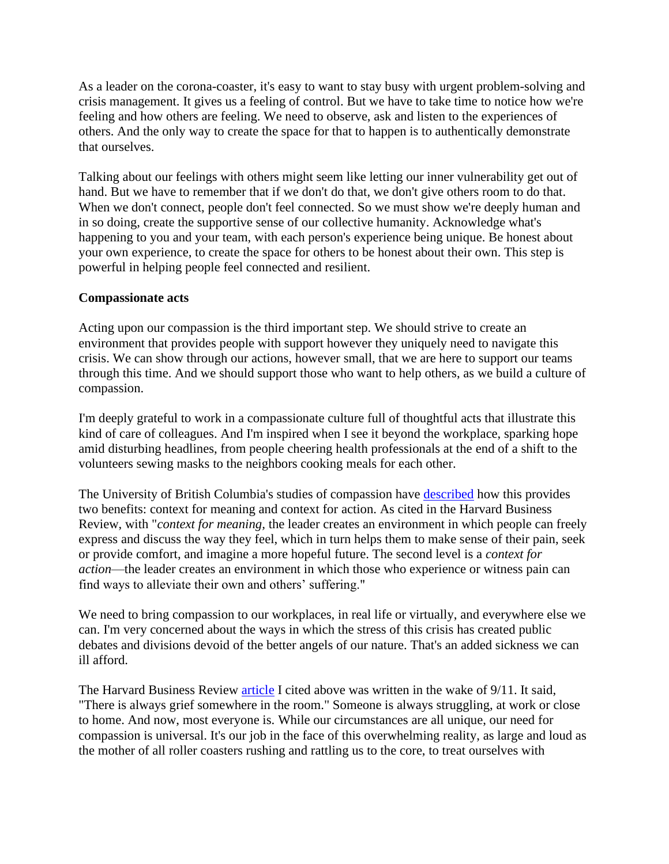As a leader on the corona-coaster, it's easy to want to stay busy with urgent problem-solving and crisis management. It gives us a feeling of control. But we have to take time to notice how we're feeling and how others are feeling. We need to observe, ask and listen to the experiences of others. And the only way to create the space for that to happen is to authentically demonstrate that ourselves.

Talking about our feelings with others might seem like letting our inner vulnerability get out of hand. But we have to remember that if we don't do that, we don't give others room to do that. When we don't connect, people don't feel connected. So we must show we're deeply human and in so doing, create the supportive sense of our collective humanity. Acknowledge what's happening to you and your team, with each person's experience being unique. Be honest about your own experience, to create the space for others to be honest about their own. This step is powerful in helping people feel connected and resilient.

# **Compassionate acts**

Acting upon our compassion is the third important step. We should strive to create an environment that provides people with support however they uniquely need to navigate this crisis. We can show through our actions, however small, that we are here to support our teams through this time. And we should support those who want to help others, as we build a culture of compassion.

I'm deeply grateful to work in a compassionate culture full of thoughtful acts that illustrate this kind of care of colleagues. And I'm inspired when I see it beyond the workplace, sparking hope amid disturbing headlines, from people cheering health professionals at the end of a shift to the volunteers sewing masks to the neighbors cooking meals for each other.

The University of British Columbia's studies of compassion have [described](https://hbr.org/2002/01/leading-in-times-of-trauma) how this provides two benefits: context for meaning and context for action. As cited in the Harvard Business Review, with "*context for meaning,* the leader creates an environment in which people can freely express and discuss the way they feel, which in turn helps them to make sense of their pain, seek or provide comfort, and imagine a more hopeful future. The second level is a *context for action*—the leader creates an environment in which those who experience or witness pain can find ways to alleviate their own and others' suffering."

We need to bring compassion to our workplaces, in real life or virtually, and everywhere else we can. I'm very concerned about the ways in which the stress of this crisis has created public debates and divisions devoid of the better angels of our nature. That's an added sickness we can ill afford.

The Harvard Business Review [article](https://hbr.org/2002/01/leading-in-times-of-trauma) I cited above was written in the wake of 9/11. It said, "There is always grief somewhere in the room." Someone is always struggling, at work or close to home. And now, most everyone is. While our circumstances are all unique, our need for compassion is universal. It's our job in the face of this overwhelming reality, as large and loud as the mother of all roller coasters rushing and rattling us to the core, to treat ourselves with